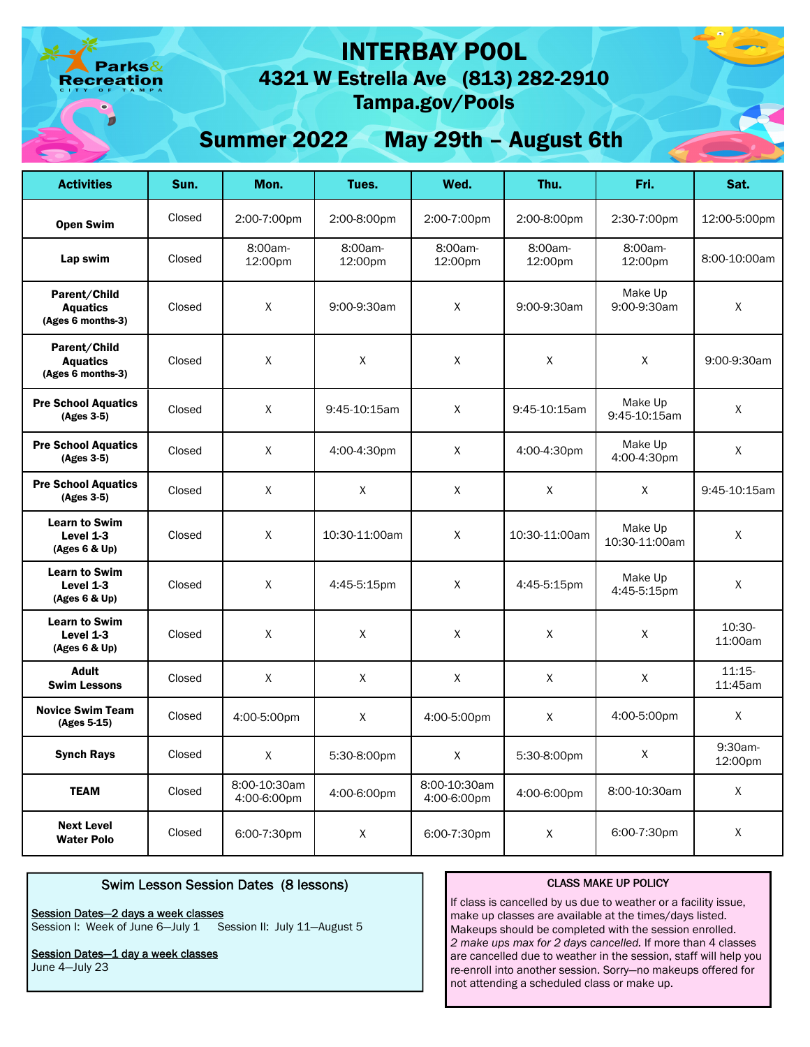arks& eation

# INTERBAY POOL

4321 W Estrella Ave (813) 282-2910 Tampa.gov/Pools

# Summer 2022 May 29th – August 6th

| <b>Activities</b>                                    | Sun.   | Mon.                        | Tues.              | Wed.                        | Thu.               | Fri.                     | Sat.                |
|------------------------------------------------------|--------|-----------------------------|--------------------|-----------------------------|--------------------|--------------------------|---------------------|
| <b>Open Swim</b>                                     | Closed | 2:00-7:00pm                 | 2:00-8:00pm        | 2:00-7:00pm                 | 2:00-8:00pm        | 2:30-7:00pm              | 12:00-5:00pm        |
| Lap swim                                             | Closed | 8:00am-<br>12:00pm          | 8:00am-<br>12:00pm | 8:00am-<br>12:00pm          | 8:00am-<br>12:00pm | 8:00am-<br>12:00pm       | 8:00-10:00am        |
| Parent/Child<br><b>Aquatics</b><br>(Ages 6 months-3) | Closed | X                           | 9:00-9:30am        | X                           | 9:00-9:30am        | Make Up<br>9:00-9:30am   | X                   |
| Parent/Child<br><b>Aquatics</b><br>(Ages 6 months-3) | Closed | X                           | $\mathsf X$        | Χ                           | X                  | X                        | 9:00-9:30am         |
| <b>Pre School Aquatics</b><br>(Ages 3-5)             | Closed | X                           | 9:45-10:15am       | X                           | 9:45-10:15am       | Make Up<br>9:45-10:15am  | X                   |
| <b>Pre School Aquatics</b><br>(Ages 3-5)             | Closed | X                           | 4:00-4:30pm        | X                           | 4:00-4:30pm        | Make Up<br>4:00-4:30pm   | X                   |
| <b>Pre School Aquatics</b><br>(Ages 3-5)             | Closed | X                           | X                  | X                           | X                  | X                        | 9:45-10:15am        |
| <b>Learn to Swim</b><br>Level 1-3<br>(Ages 6 & Up)   | Closed | X                           | 10:30-11:00am      | X                           | 10:30-11:00am      | Make Up<br>10:30-11:00am | X                   |
| <b>Learn to Swim</b><br>Level 1-3<br>(Ages 6 & Up)   | Closed | X                           | 4:45-5:15pm        | X                           | 4:45-5:15pm        | Make Up<br>4:45-5:15pm   | X                   |
| <b>Learn to Swim</b><br>Level $1-3$<br>(Ages 6 & Up) | Closed | X                           | X                  | X                           | X                  | X                        | 10:30-<br>11:00am   |
| Adult<br><b>Swim Lessons</b>                         | Closed | X                           | X                  | X                           | X                  | X                        | $11:15-$<br>11:45am |
| <b>Novice Swim Team</b><br>(Ages 5-15)               | Closed | 4:00-5:00pm                 | X                  | 4:00-5:00pm                 | X                  | 4:00-5:00pm              | X                   |
| <b>Synch Rays</b>                                    | Closed | X                           | 5:30-8:00pm        | X                           | 5:30-8:00pm        | X                        | 9:30am-<br>12:00pm  |
| <b>TEAM</b>                                          | Closed | 8:00-10:30am<br>4:00-6:00pm | 4:00-6:00pm        | 8:00-10:30am<br>4:00-6:00pm | 4:00-6:00pm        | 8:00-10:30am             | X                   |
| <b>Next Level</b><br><b>Water Polo</b>               | Closed | 6:00-7:30pm                 | X                  | 6:00-7:30pm                 | X                  | 6:00-7:30pm              | X                   |

## Swim Lesson Session Dates (8 lessons)

#### Session Dates—2 days a week classes

Session I: Week of June 6-July 1 Session II: July 11-August 5

Session Dates-1 day a week classes

June 4—July 23

#### CLASS MAKE UP POLICY

If class is cancelled by us due to weather or a facility issue, make up classes are available at the times/days listed. Makeups should be completed with the session enrolled. *2 make ups max for 2 days cancelled.* If more than 4 classes are cancelled due to weather in the session, staff will help you re-enroll into another session. Sorry—no makeups offered for not attending a scheduled class or make up.